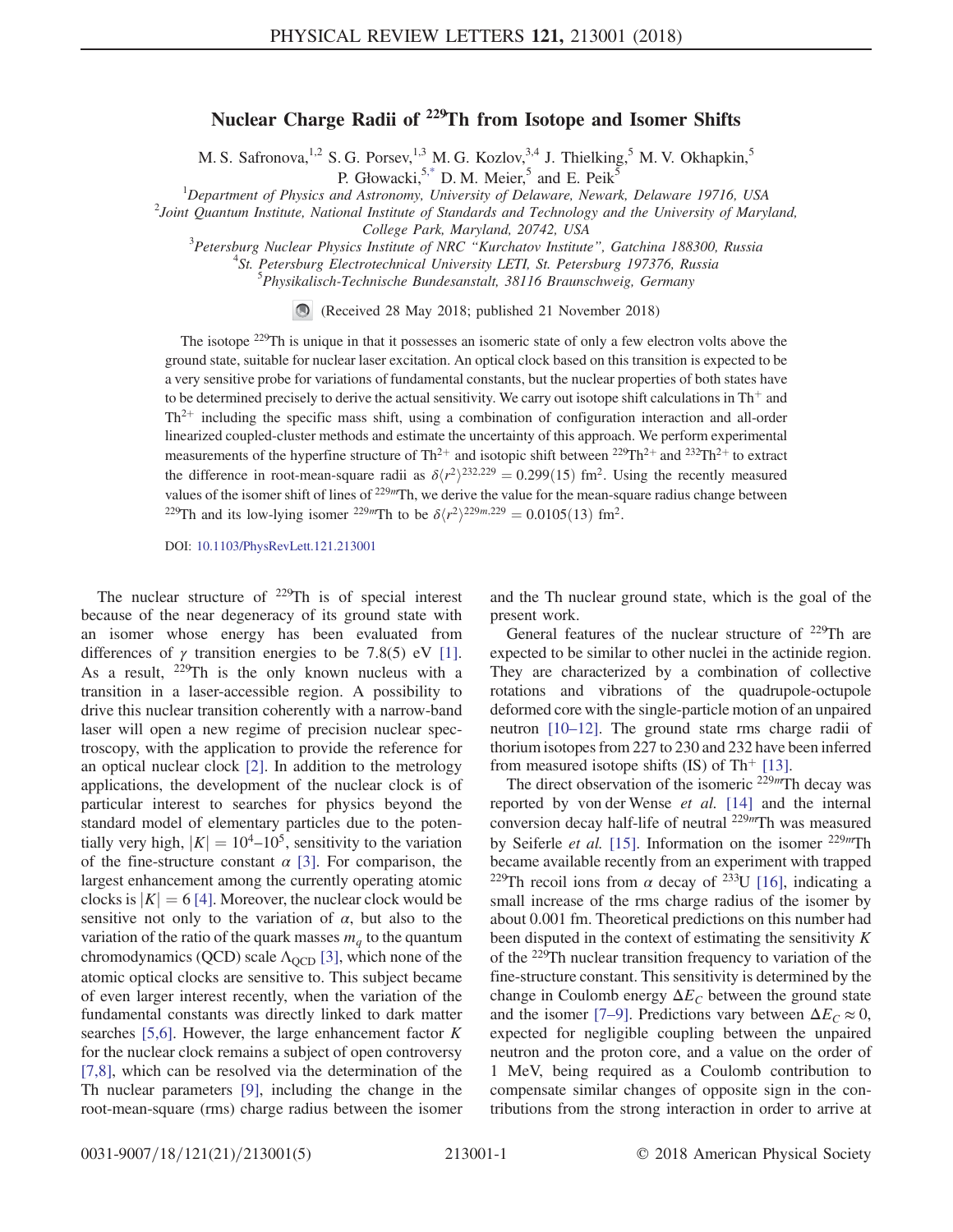## Nuclear Charge Radii of <sup>229</sup>Th from Isotope and Isomer Shifts

M. S. Safronova,<sup>1,2</sup> S. G. Porsev,<sup>1,3</sup> M. G. Kozlov,<sup>3,4</sup> J. Thielking,<sup>5</sup> M. V. Okhapkin,<sup>5</sup> P. Głowacki,<sup>[5,\\*](#page-4-0)</sup> D. M. Meier,<sup>5</sup> and E. Peik<sup>5</sup>

<span id="page-0-0"></span><sup>1</sup>Department of Physics and Astronomy, University of Delaware, Newark, Delaware 19716, USA<br><sup>2</sup> Leint Quantum Institute, National Institute of Standards and Technology and the University of Mary

 $^{2}$ Joint Quantum Institute, National Institute of Standards and Technology and the University of Maryland,

College Park, Maryland, 20742, USA<br><sup>3</sup> Petersburg Nuclear Physics Institute of NPC "Kurahatov Institute" Petersburg Nuclear Physics Institute of NRC "Kurchatov Institute", Gatchina 188300, Russia<br><sup>4</sup>St. Retarburg Electrotechnical University LETL St. Retarburg 197376, Bussia

<sup>4</sup>St. Petersburg Electrotechnical University LETI, St. Petersburg 197376, Russia

 $<sup>5</sup> Physikalisch-Technische Bundesanstalt, 38116 Braunschweig, Germany$ </sup>

(Received 28 May 2018; published 21 November 2018)

The isotope <sup>229</sup>Th is unique in that it possesses an isomeric state of only a few electron volts above the ground state, suitable for nuclear laser excitation. An optical clock based on this transition is expected to be a very sensitive probe for variations of fundamental constants, but the nuclear properties of both states have to be determined precisely to derive the actual sensitivity. We carry out isotope shift calculations in  $Th^+$  and  $Th<sup>2+</sup>$  including the specific mass shift, using a combination of configuration interaction and all-order linearized coupled-cluster methods and estimate the uncertainty of this approach. We perform experimental measurements of the hyperfine structure of Th<sup>2+</sup> and isotopic shift between <sup>229</sup>Th<sup>2+</sup> and <sup>232</sup>Th<sup>2+</sup> to extract the difference in root-mean-square radii as  $\delta \langle r^2 \rangle^{232,229} = 0.299(15)$  fm<sup>2</sup>. Using the recently measured values of the isomer shift of lines of  $^{229m}$ Th, we derive the value for the mean-square radius change between <sup>229</sup>Th and its low-lying isomer <sup>229</sup>*m*Th to be  $\delta \langle r^2 \rangle^{229m,229} = 0.0105(13)$  fm<sup>2</sup>.

DOI: [10.1103/PhysRevLett.121.213001](https://doi.org/10.1103/PhysRevLett.121.213001)

The nuclear structure of  $229$ Th is of special interest because of the near degeneracy of its ground state with an isomer whose energy has been evaluated from differences of  $\gamma$  transition energies to be 7.8(5) eV [\[1\]](#page-4-1). As a result,  $229$ Th is the only known nucleus with a transition in a laser-accessible region. A possibility to drive this nuclear transition coherently with a narrow-band laser will open a new regime of precision nuclear spectroscopy, with the application to provide the reference for an optical nuclear clock [\[2\].](#page-4-2) In addition to the metrology applications, the development of the nuclear clock is of particular interest to searches for physics beyond the standard model of elementary particles due to the potentially very high,  $|K| = 10^4$ –10<sup>5</sup>, sensitivity to the variation of the fine-structure constant  $\alpha$  [\[3\]](#page-4-3). For comparison, the largest enhancement among the currently operating atomic clocks is  $|K| = 6$  [\[4\].](#page-4-4) Moreover, the nuclear clock would be sensitive not only to the variation of  $\alpha$ , but also to the variation of the ratio of the quark masses  $m_q$  to the quantum chromodynamics (QCD) scale  $\Lambda_{\text{QCD}}$  [\[3\],](#page-4-3) which none of the atomic optical clocks are sensitive to. This subject became of even larger interest recently, when the variation of the fundamental constants was directly linked to dark matter searches [\[5,6\].](#page-4-5) However, the large enhancement factor  $K$ for the nuclear clock remains a subject of open controversy [\[7,8\],](#page-4-6) which can be resolved via the determination of the Th nuclear parameters [\[9\],](#page-4-7) including the change in the root-mean-square (rms) charge radius between the isomer and the Th nuclear ground state, which is the goal of the present work.

General features of the nuclear structure of <sup>229</sup>Th are expected to be similar to other nuclei in the actinide region. They are characterized by a combination of collective rotations and vibrations of the quadrupole-octupole deformed core with the single-particle motion of an unpaired neutron [10–[12\].](#page-4-8) The ground state rms charge radii of thorium isotopes from 227 to 230 and 232 have been inferred from measured isotope shifts (IS) of Th<sup>+</sup> [\[13\].](#page-4-9)

The direct observation of the isomeric  $229m$ Th decay was reported by von der Wense et al. [\[14\]](#page-4-10) and the internal conversion decay half-life of neutral <sup>229</sup><sup>m</sup>Th was measured by Seiferle *et al.* [\[15\].](#page-4-11) Information on the isomer  $229mTh$ became available recently from an experiment with trapped <sup>229</sup>Th recoil ions from  $\alpha$  decay of <sup>233</sup>U [\[16\]](#page-4-12), indicating a small increase of the rms charge radius of the isomer by about 0.001 fm. Theoretical predictions on this number had been disputed in the context of estimating the sensitivity  $K$ of the <sup>229</sup>Th nuclear transition frequency to variation of the fine-structure constant. This sensitivity is determined by the change in Coulomb energy  $\Delta E_C$  between the ground state and the isomer [7–[9\]](#page-4-6). Predictions vary between  $\Delta E_C \approx 0$ , expected for negligible coupling between the unpaired neutron and the proton core, and a value on the order of 1 MeV, being required as a Coulomb contribution to compensate similar changes of opposite sign in the contributions from the strong interaction in order to arrive at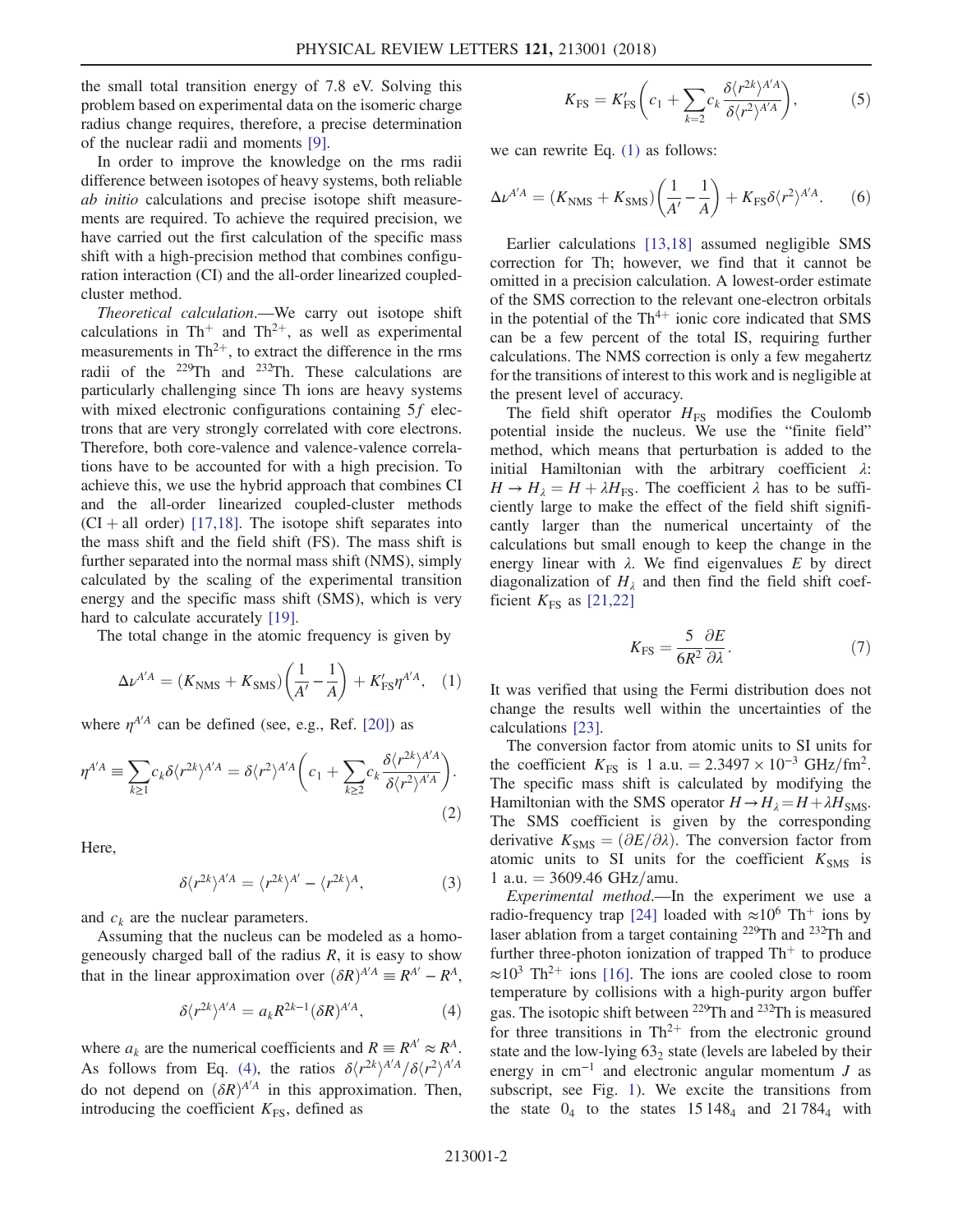the small total transition energy of 7.8 eV. Solving this problem based on experimental data on the isomeric charge radius change requires, therefore, a precise determination of the nuclear radii and moments [\[9\].](#page-4-7)

In order to improve the knowledge on the rms radii difference between isotopes of heavy systems, both reliable ab initio calculations and precise isotope shift measurements are required. To achieve the required precision, we have carried out the first calculation of the specific mass shift with a high-precision method that combines configuration interaction (CI) and the all-order linearized coupledcluster method.

Theoretical calculation.—We carry out isotope shift calculations in Th<sup>+</sup> and Th<sup>2+</sup>, as well as experimental measurements in  $Th^{2+}$ , to extract the difference in the rms radii of the <sup>229</sup>Th and <sup>232</sup>Th. These calculations are particularly challenging since Th ions are heavy systems with mixed electronic configurations containing 5f electrons that are very strongly correlated with core electrons. Therefore, both core-valence and valence-valence correlations have to be accounted for with a high precision. To achieve this, we use the hybrid approach that combines CI and the all-order linearized coupled-cluster methods  $(CI + all order)$  [\[17,18\]](#page-4-13). The isotope shift separates into the mass shift and the field shift (FS). The mass shift is further separated into the normal mass shift (NMS), simply calculated by the scaling of the experimental transition energy and the specific mass shift (SMS), which is very hard to calculate accurately [\[19\].](#page-4-14)

<span id="page-1-1"></span>The total change in the atomic frequency is given by

$$
\Delta \nu^{A'A} = (K_{\rm NMS} + K_{\rm SMS}) \left( \frac{1}{A'} - \frac{1}{A} \right) + K'_{\rm FS} \eta^{A'A}, \quad (1)
$$

where  $\eta^{A'A}$  can be defined (see, e.g., Ref. [\[20\]](#page-4-15)) as

$$
\eta^{A'A} \equiv \sum_{k \ge 1} c_k \delta \langle r^{2k} \rangle^{A'A} = \delta \langle r^2 \rangle^{A'A} \bigg( c_1 + \sum_{k \ge 2} c_k \frac{\delta \langle r^{2k} \rangle^{A'A}}{\delta \langle r^2 \rangle^{A'A}} \bigg). \tag{2}
$$

Here,

$$
\delta \langle r^{2k} \rangle^{A'A} = \langle r^{2k} \rangle^{A'} - \langle r^{2k} \rangle^{A},\tag{3}
$$

and  $c_k$  are the nuclear parameters.

<span id="page-1-0"></span>Assuming that the nucleus can be modeled as a homogeneously charged ball of the radius  $R$ , it is easy to show that in the linear approximation over  $(\delta R)^{A'A} \equiv R^{A'} - R^A$ ,

$$
\delta \langle r^{2k} \rangle^{A'A} = a_k R^{2k-1} (\delta R)^{A'A}, \tag{4}
$$

where  $a_k$  are the numerical coefficients and  $R \equiv R^{A'} \approx R^{A}$ . As follows from Eq. [\(4\)](#page-1-0), the ratios  $\delta \langle r^{2k} \rangle^{A/A} / \delta \langle r^2 \rangle^{A/A}$ do not depend on  $(\delta R)^{A'A}$  in this approximation. Then, introducing the coefficient  $K_{FS}$ , defined as

$$
K_{\rm FS} = K'_{\rm FS} \left( c_1 + \sum_{k=2} c_k \frac{\delta \langle r^{2k} \rangle^{A'A}}{\delta \langle r^2 \rangle^{A'A}} \right),\tag{5}
$$

<span id="page-1-2"></span>we can rewrite Eq. [\(1\)](#page-1-1) as follows:

$$
\Delta \nu^{A'A} = (K_{\text{NMS}} + K_{\text{SMS}}) \left(\frac{1}{A'} - \frac{1}{A}\right) + K_{\text{FS}} \delta \langle r^2 \rangle^{A'A}.
$$
 (6)

Earlier calculations [\[13,18\]](#page-4-9) assumed negligible SMS correction for Th; however, we find that it cannot be omitted in a precision calculation. A lowest-order estimate of the SMS correction to the relevant one-electron orbitals in the potential of the  $Th^{4+}$  ionic core indicated that SMS can be a few percent of the total IS, requiring further calculations. The NMS correction is only a few megahertz for the transitions of interest to this work and is negligible at the present level of accuracy.

The field shift operator  $H<sub>FS</sub>$  modifies the Coulomb potential inside the nucleus. We use the "finite field" method, which means that perturbation is added to the initial Hamiltonian with the arbitrary coefficient  $\lambda$ :  $H \rightarrow H_{\lambda} = H + \lambda H_{FS}$ . The coefficient  $\lambda$  has to be sufficiently large to make the effect of the field shift significantly larger than the numerical uncertainty of the calculations but small enough to keep the change in the energy linear with  $\lambda$ . We find eigenvalues E by direct diagonalization of  $H_{\lambda}$  and then find the field shift coefficient  $K_{FS}$  as [\[21,22\]](#page-4-16)

$$
K_{\rm FS} = \frac{5}{6R^2} \frac{\partial E}{\partial \lambda}.
$$
 (7)

It was verified that using the Fermi distribution does not change the results well within the uncertainties of the calculations [\[23\]](#page-4-17).

The conversion factor from atomic units to SI units for the coefficient  $K_{\text{FS}}$  is 1 a.u. = 2.3497 × 10<sup>-3</sup> GHz/fm<sup>2</sup>. The specific mass shift is calculated by modifying the Hamiltonian with the SMS operator  $H \rightarrow H_{\lambda} = H + \lambda H_{\text{SMS}}$ . The SMS coefficient is given by the corresponding derivative  $K_{\text{SMS}} = (\partial E/\partial \lambda)$ . The conversion factor from atomic units to SI units for the coefficient  $K_{\text{SMS}}$  is 1 a.u.  $= 3609.46 \text{ GHz/amu.}$ 

Experimental method.—In the experiment we use a radio-frequency trap [\[24\]](#page-4-18) loaded with  $\approx 10^6$  Th<sup>+</sup> ions by laser ablation from a target containing <sup>229</sup>Th and <sup>232</sup>Th and further three-photon ionization of trapped  $Th<sup>+</sup>$  to produce  $\approx 10^3$  Th<sup>2+</sup> ions [\[16\].](#page-4-12) The ions are cooled close to room temperature by collisions with a high-purity argon buffer gas. The isotopic shift between <sup>229</sup>Th and <sup>232</sup>Th is measured for three transitions in  $Th^{2+}$  from the electronic ground state and the low-lying  $63<sub>2</sub>$  state (levels are labeled by their energy in  $cm^{-1}$  and electronic angular momentum J as subscript, see Fig. [1\)](#page-2-0). We excite the transitions from the state  $0_4$  to the states  $15148_4$  and  $21784_4$  with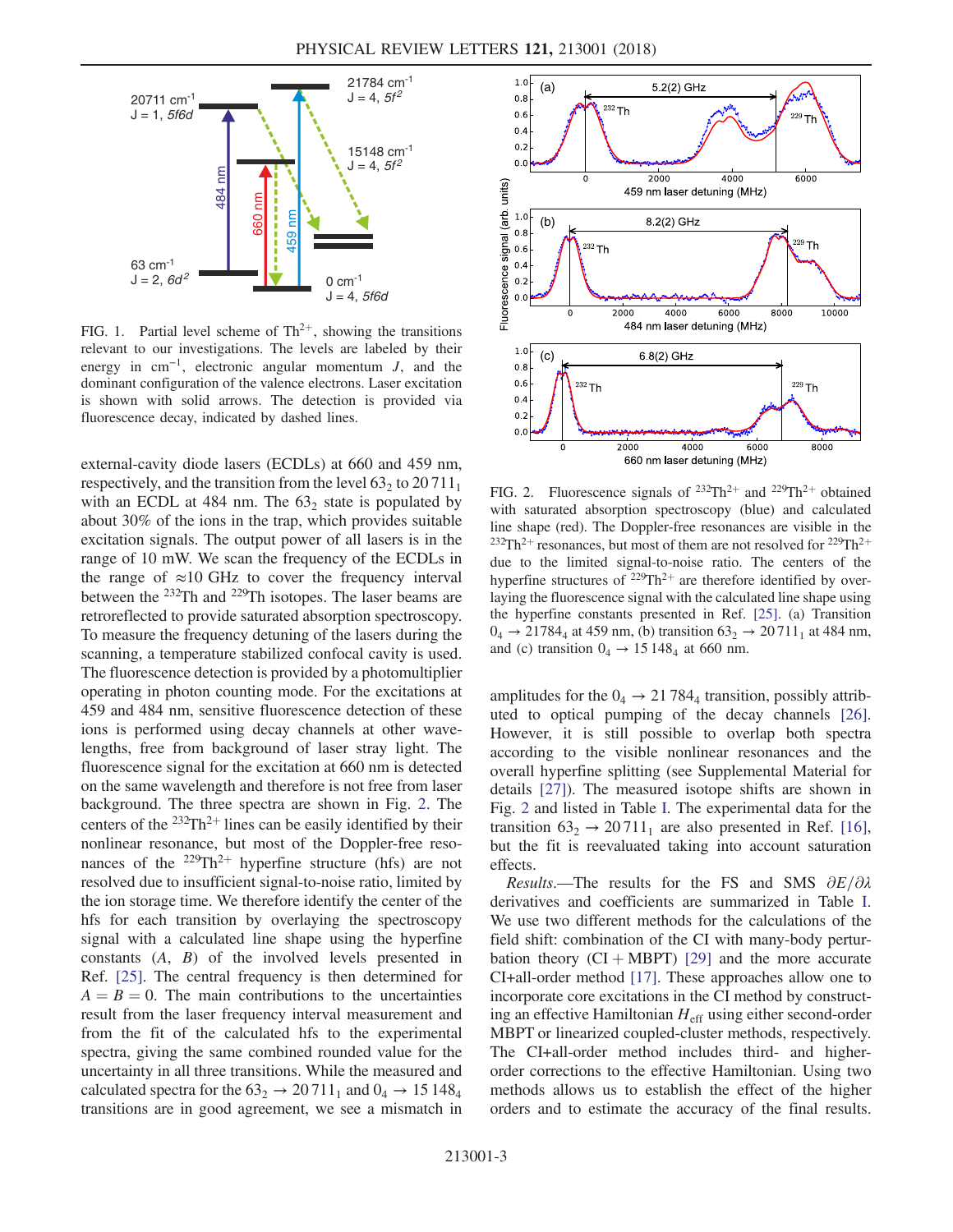<span id="page-2-0"></span>

FIG. 1. Partial level scheme of  $Th^{2+}$ , showing the transitions relevant to our investigations. The levels are labeled by their energy in cm<sup>−</sup><sup>1</sup>, electronic angular momentum J, and the dominant configuration of the valence electrons. Laser excitation is shown with solid arrows. The detection is provided via fluorescence decay, indicated by dashed lines.

external-cavity diode lasers (ECDLs) at 660 and 459 nm, respectively, and the transition from the level  $63<sub>2</sub>$  to  $20711<sub>1</sub>$ with an ECDL at 484 nm. The  $63<sub>2</sub>$  state is populated by about 30% of the ions in the trap, which provides suitable excitation signals. The output power of all lasers is in the range of 10 mW. We scan the frequency of the ECDLs in the range of  $\approx 10$  GHz to cover the frequency interval between the <sup>232</sup>Th and <sup>229</sup>Th isotopes. The laser beams are retroreflected to provide saturated absorption spectroscopy. To measure the frequency detuning of the lasers during the scanning, a temperature stabilized confocal cavity is used. The fluorescence detection is provided by a photomultiplier operating in photon counting mode. For the excitations at 459 and 484 nm, sensitive fluorescence detection of these ions is performed using decay channels at other wavelengths, free from background of laser stray light. The fluorescence signal for the excitation at 660 nm is detected on the same wavelength and therefore is not free from laser background. The three spectra are shown in Fig. [2.](#page-2-1) The centers of the  $232Th^{2+}$  lines can be easily identified by their nonlinear resonance, but most of the Doppler-free resonances of the  $229Th^{2+}$  hyperfine structure (hfs) are not resolved due to insufficient signal-to-noise ratio, limited by the ion storage time. We therefore identify the center of the hfs for each transition by overlaying the spectroscopy signal with a calculated line shape using the hyperfine constants (A, B) of the involved levels presented in Ref. [\[25\].](#page-4-19) The central frequency is then determined for  $A = B = 0$ . The main contributions to the uncertainties result from the laser frequency interval measurement and from the fit of the calculated hfs to the experimental spectra, giving the same combined rounded value for the uncertainty in all three transitions. While the measured and calculated spectra for the  $63<sub>2</sub> \rightarrow 20711<sub>1</sub>$  and  $0<sub>4</sub> \rightarrow 15148<sub>4</sub>$ transitions are in good agreement, we see a mismatch in

<span id="page-2-1"></span>

FIG. 2. Fluorescence signals of  $232Th^{2+}$  and  $229Th^{2+}$  obtained with saturated absorption spectroscopy (blue) and calculated line shape (red). The Doppler-free resonances are visible in the <sup>232</sup>Th<sup>2+</sup> resonances, but most of them are not resolved for <sup>229</sup>Th<sup>2+</sup> due to the limited signal-to-noise ratio. The centers of the hyperfine structures of  $229 \text{Th}^{2+}$  are therefore identified by overlaying the fluorescence signal with the calculated line shape using the hyperfine constants presented in Ref. [\[25\].](#page-4-19) (a) Transition  $0_4 \rightarrow 21784_4$  at 459 nm, (b) transition  $63_2 \rightarrow 20711_1$  at 484 nm, and (c) transition  $0_4 \rightarrow 15 148_4$  at 660 nm.

amplitudes for the  $0_4 \rightarrow 21784_4$  transition, possibly attributed to optical pumping of the decay channels [\[26\]](#page-4-20). However, it is still possible to overlap both spectra according to the visible nonlinear resonances and the overall hyperfine splitting (see Supplemental Material for details [\[27\]](#page-4-21)). The measured isotope shifts are shown in Fig. [2](#page-2-1) and listed in Table [I.](#page-3-0) The experimental data for the transition  $63<sub>2</sub> \rightarrow 20711<sub>1</sub>$  are also presented in Ref. [\[16\]](#page-4-12), but the fit is reevaluated taking into account saturation effects.

Results.—The results for the FS and SMS  $\partial E/\partial \lambda$ derivatives and coefficients are summarized in Table [I](#page-3-0). We use two different methods for the calculations of the field shift: combination of the CI with many-body perturbation theory  $(CI + MBPT)$  [\[29\]](#page-4-22) and the more accurate CI+all-order method [\[17\]](#page-4-13). These approaches allow one to incorporate core excitations in the CI method by constructing an effective Hamiltonian  $H_{\text{eff}}$  using either second-order MBPT or linearized coupled-cluster methods, respectively. The CI+all-order method includes third- and higherorder corrections to the effective Hamiltonian. Using two methods allows us to establish the effect of the higher orders and to estimate the accuracy of the final results.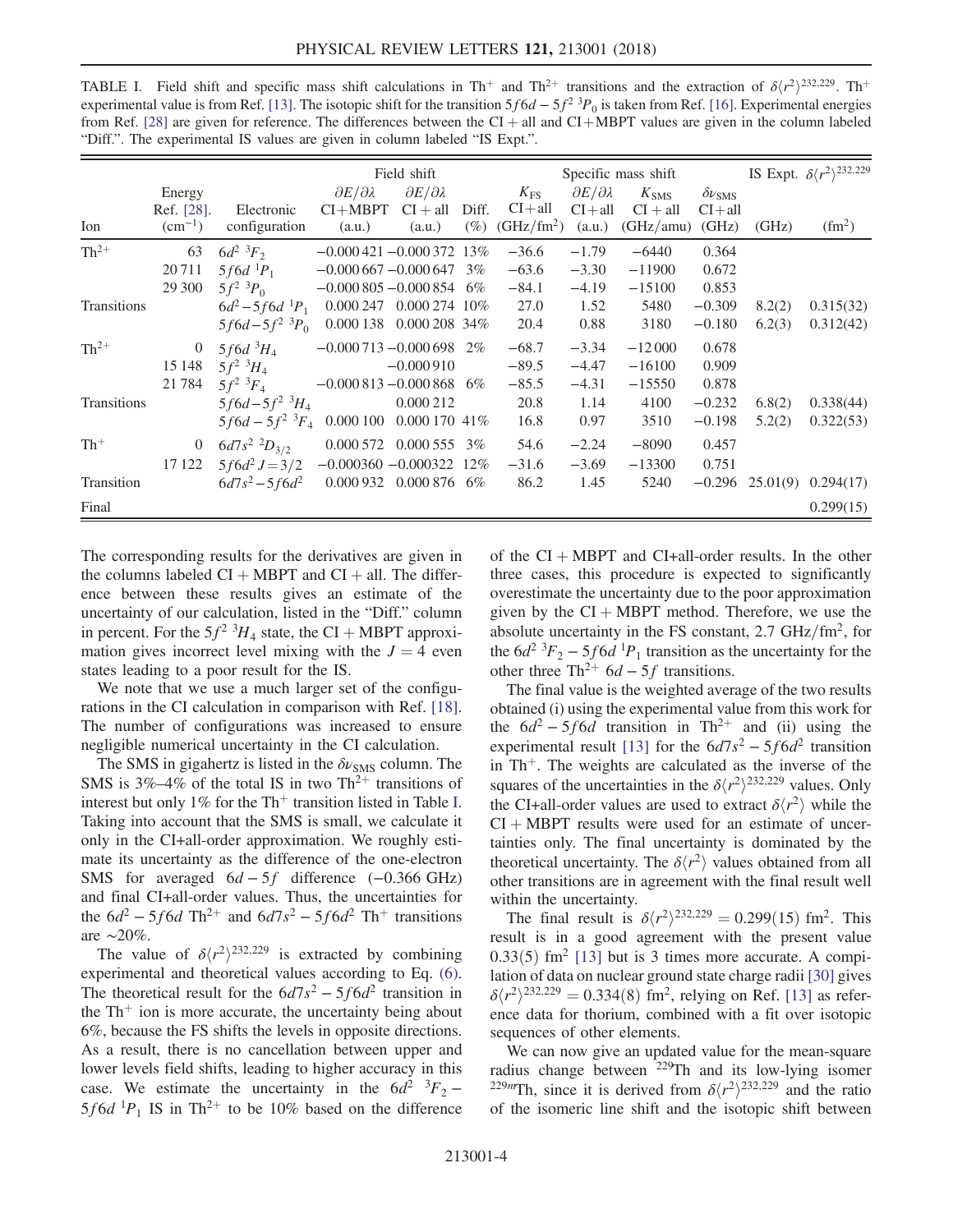| $\alpha$ $\beta$ is another than $\alpha$ is the set of the set of the function $\beta$ of $\beta$ is another the set of the set of $\alpha$<br>from Ref. [28] are given for reference. The differences between the $CI + all$ and $CI + MBPT$ values are given in the column labeled<br>"Diff.". The experimental IS values are given in column labeled "IS Expt.". |                |                                                 |                               |                               |       |                        |                               |                  |                        |        |                                                 |
|----------------------------------------------------------------------------------------------------------------------------------------------------------------------------------------------------------------------------------------------------------------------------------------------------------------------------------------------------------------------|----------------|-------------------------------------------------|-------------------------------|-------------------------------|-------|------------------------|-------------------------------|------------------|------------------------|--------|-------------------------------------------------|
|                                                                                                                                                                                                                                                                                                                                                                      |                |                                                 | Field shift                   |                               |       | Specific mass shift    |                               |                  |                        |        | IS Expt. $\delta \langle r^2 \rangle^{232,229}$ |
|                                                                                                                                                                                                                                                                                                                                                                      | Energy         |                                                 | $\partial E/\partial \lambda$ | $\partial E/\partial \lambda$ |       | $K_{\rm FS}$           | $\partial E/\partial \lambda$ | $K_{\text{SMS}}$ | $\delta \nu_{\rm SMS}$ |        |                                                 |
|                                                                                                                                                                                                                                                                                                                                                                      | Ref. [28].     | Electronic                                      | $CI+MBPT$                     | $CI + all$                    | Diff. | $CI + all$             | $CI + all$                    | $CI + all$       | $CI + all$             |        |                                                 |
| Ion                                                                                                                                                                                                                                                                                                                                                                  | $(cm^{-1})$    | configuration                                   | (a.u.)                        | (a.u.)                        | (%)   | (GHz/fm <sup>2</sup> ) | (a.u.)                        | (GHz/amu)        | (GHz)                  | (GHz)  | (fm <sup>2</sup> )                              |
| $Th^{2+}$                                                                                                                                                                                                                                                                                                                                                            | 63             | $6d^2$ ${}^3F_2$                                | $-0.000421 - 0.000372$ 13%    |                               |       | $-36.6$                | $-1.79$                       | $-6440$          | 0.364                  |        |                                                 |
|                                                                                                                                                                                                                                                                                                                                                                      | 20711          | $5f6d^{1}P_1$                                   | $-0.000667 - 0.0006473$       |                               |       | $-63.6$                | $-3.30$                       | $-11900$         | 0.672                  |        |                                                 |
|                                                                                                                                                                                                                                                                                                                                                                      | 29 300         | $5f^2$ ${}^3P_0$                                | $-0.000805 - 0.000854$ 6%     |                               |       | $-84.1$                | $-4.19$                       | $-15100$         | 0.853                  |        |                                                 |
| Transitions                                                                                                                                                                                                                                                                                                                                                          |                | $6d^2 - 5f6d^1P_1$                              | 0.000 247                     | $0.000274$ 10\%               |       | 27.0                   | 1.52                          | 5480             | $-0.309$               | 8.2(2) | 0.315(32)                                       |
|                                                                                                                                                                                                                                                                                                                                                                      |                | $5f6d - 5f^2$ ${}^3P_0$                         | $0.000138$ $0.00020834\%$     |                               |       | 20.4                   | 0.88                          | 3180             | $-0.180$               | 6.2(3) | 0.312(42)                                       |
| $Th^{2+}$                                                                                                                                                                                                                                                                                                                                                            | $\overline{0}$ | 5f6d ${}^{3}H_4$                                | $-0.000713 - 0.000698$ 2%     |                               |       | $-68.7$                | $-3.34$                       | $-12000$         | 0.678                  |        |                                                 |
|                                                                                                                                                                                                                                                                                                                                                                      | 15 148         | $5f^2 M_A$                                      |                               | $-0.000910$                   |       | $-89.5$                | $-4.47$                       | $-16100$         | 0.909                  |        |                                                 |
|                                                                                                                                                                                                                                                                                                                                                                      | 21784          | $5f^2~^3F_4$                                    | $-0.000813 - 0.000868$ 6%     |                               |       | $-85.5$                | $-4.31$                       | $-15550$         | 0.878                  |        |                                                 |
| Transitions                                                                                                                                                                                                                                                                                                                                                          |                | $5f6d - 5f^2$ $^3H_4$                           |                               | 0.000 212                     |       | 20.8                   | 1.14                          | 4100             | $-0.232$               | 6.8(2) | 0.338(44)                                       |
|                                                                                                                                                                                                                                                                                                                                                                      |                | $5f6d - 5f^2$ ${}^3F_4$ 0.000 100 0.000 170 41% |                               |                               |       | 16.8                   | 0.97                          | 3510             | $-0.198$               | 5.2(2) | 0.322(53)                                       |

 $17 122$   $5f6d^2 J = 3/2$   $-0.000360$   $-0.000322$   $12\%$   $-31.6$   $-3.69$   $-13300$   $0.751$ <br> $6d7s^2 - 5f6d^2$   $0.000932$   $0.000876$   $6\%$   $86.2$   $1.45$   $5240$   $-0.296$   $25.01(9)$   $0.294(17)$ 

Final  $0.299(15)$ 

Th<sup>+</sup> 0 6d7s<sup>2</sup>  $D_{3/2}$  0.000 572 0.000 555 3% 54.6 −2.24 −8090 0.457

<span id="page-3-0"></span>TABLE I. Field shift and specific mass shift calculations in Th<sup>+</sup> and Th<sup>2+</sup> transitions and the extraction of  $\delta \langle r^2 \rangle^{232,229}$ . Th<sup>+</sup> experimental value is from Ref. [\[13\]](#page-4-9). The isotopic shift for the transition  $5f6d - 5f^2$  3P<sub>0</sub> is taken from Ref. [\[16\]](#page-4-12). Experimental energies

The corresponding results for the derivatives are given in the columns labeled  $CI + MBPT$  and  $CI + all$ . The difference between these results gives an estimate of the uncertainty of our calculation, listed in the "Diff." column in percent. For the  $5f^2$  <sup>3</sup>H<sub>4</sub> state, the CI + MBPT approximation gives incorrect level mixing with the  $J = 4$  even states leading to a poor result for the IS.

Transition  $6d7s^2 - 5f6d^2$  0.000 932 0.000 876 6%

We note that we use a much larger set of the configurations in the CI calculation in comparison with Ref. [\[18\]](#page-4-23). The number of configurations was increased to ensure negligible numerical uncertainty in the CI calculation.

The SMS in gigahertz is listed in the  $\delta\nu_{\rm SMS}$  column. The SMS is  $3\% - 4\%$  of the total IS in two Th<sup>2+</sup> transitions of interest but only 1% for the  $Th<sup>+</sup>$  transition listed in Table [I](#page-3-0). Taking into account that the SMS is small, we calculate it only in the CI+all-order approximation. We roughly estimate its uncertainty as the difference of the one-electron SMS for averaged  $6d - 5f$  difference (-0.366 GHz) and final CI+all-order values. Thus, the uncertainties for the  $6d^2 - 5f6d$  Th<sup>2+</sup> and  $6d7s^2 - 5f6d^2$  Th<sup>+</sup> transitions are ∼20%.

The value of  $\delta \langle r^2 \rangle^{232,229}$  is extracted by combining experimental and theoretical values according to Eq. [\(6\)](#page-1-2). The theoretical result for the  $6d7s^2 - 5f6d^2$  transition in the  $Th<sup>+</sup>$  ion is more accurate, the uncertainty being about 6%, because the FS shifts the levels in opposite directions. As a result, there is no cancellation between upper and lower levels field shifts, leading to higher accuracy in this case. We estimate the uncertainty in the  $6d^2$   $\frac{3F_2}{ }$  – 5f6d  $P_1$  IS in Th<sup>2+</sup> to be 10% based on the difference of the  $CI + MBPT$  and  $CI + all-order$  results. In the other three cases, this procedure is expected to significantly overestimate the uncertainty due to the poor approximation given by the  $CI + MBPT$  method. Therefore, we use the absolute uncertainty in the FS constant,  $2.7 \text{ GHz}/\text{fm}^2$ , for the  $6d^2$  <sup>3</sup> $F_2$  – 5*f* 6*d* <sup>1</sup> $P_1$  transition as the uncertainty for the other three Th<sup>2+</sup>  $6d - 5f$  transitions.

The final value is the weighted average of the two results obtained (i) using the experimental value from this work for the  $6d^2 - 5f6d$  transition in Th<sup>2+</sup> and (ii) using the experimental result [\[13\]](#page-4-9) for the  $6d7s^2 - 5f6d^2$  transition in  $Th^+$ . The weights are calculated as the inverse of the squares of the uncertainties in the  $\delta \langle r^2 \rangle^{232,229}$  values. Only the CI+all-order values are used to extract  $\delta\langle r^2 \rangle$  while the  $CI + MBPT$  results were used for an estimate of uncertainties only. The final uncertainty is dominated by the theoretical uncertainty. The  $\delta \langle r^2 \rangle$  values obtained from all other transitions are in agreement with the final result well within the uncertainty.

The final result is  $\delta \langle r^2 \rangle^{232,229} = 0.299(15)$  fm<sup>2</sup>. This result is in a good agreement with the present value  $0.33(5)$  fm<sup>2</sup> [\[13\]](#page-4-9) but is 3 times more accurate. A compilation of data on nuclear ground state charge radii [\[30\]](#page-4-24) gives  $\delta \langle r^2 \rangle^{232,229} = 0.334(8)$  fm<sup>2</sup>, relying on Ref. [\[13\]](#page-4-9) as reference data for thorium, combined with a fit over isotopic sequences of other elements.

We can now give an updated value for the mean-square radius change between <sup>229</sup>Th and its low-lying isomer <sup>229m</sup>Th, since it is derived from  $\delta \langle r^2 \rangle^{232,229}$  and the ratio of the isomeric line shift and the isotopic shift between